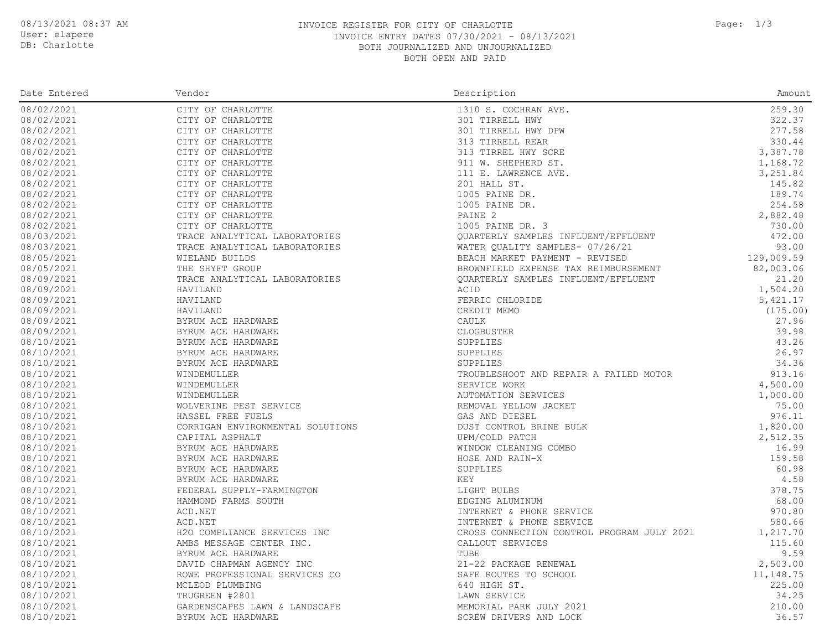### DB: Charlotte

#### 08/13/2021 08:37 AM **INVOICE REGISTER FOR CITY OF CHARLOTTE** Page: 1/3 INVOICE ENTRY DATES 07/30/2021 - 08/13/2021 BOTH JOURNALIZED AND UNJOURNALIZED BOTH OPEN AND PAID

| Date Entered | Vendor                                                                                                                                                                                                                                                                                                                                                                                                                            | Description                                | Amount     |
|--------------|-----------------------------------------------------------------------------------------------------------------------------------------------------------------------------------------------------------------------------------------------------------------------------------------------------------------------------------------------------------------------------------------------------------------------------------|--------------------------------------------|------------|
| 08/02/2021   | CITY OF CHARLOTTE                                                                                                                                                                                                                                                                                                                                                                                                                 | 1310 S. COCHRAN AVE.                       | 259.30     |
| 08/02/2021   | CITY OF CHARLOTTE                                                                                                                                                                                                                                                                                                                                                                                                                 | 301 TIRRELL HWY                            | 322.37     |
| 08/02/2021   | CITY OF CHARLOTTE                                                                                                                                                                                                                                                                                                                                                                                                                 | 301 TIRRELL HWY DPW                        | 277.58     |
| 08/02/2021   | CITY OF CHARLOTTE                                                                                                                                                                                                                                                                                                                                                                                                                 | 313 TIRRELL REAR                           | 330.44     |
| 08/02/2021   | CITY OF CHARLOTTE                                                                                                                                                                                                                                                                                                                                                                                                                 | 313 TIRREL HWY SCRE                        | 3,387.78   |
| 08/02/2021   | CITY OF CHARLOTTE                                                                                                                                                                                                                                                                                                                                                                                                                 | 911 W. SHEPHERD ST.                        | 1,168.72   |
| 08/02/2021   | CITY OF CHARLOTTE                                                                                                                                                                                                                                                                                                                                                                                                                 | 111 E. LAWRENCE AVE.                       | 3,251.84   |
| 08/02/2021   | CITY OF CHARLOTTE                                                                                                                                                                                                                                                                                                                                                                                                                 | 201 HALL ST.                               | 145.82     |
| 08/02/2021   | CITY OF CHARLOTTE                                                                                                                                                                                                                                                                                                                                                                                                                 | 1005 PAINE DR.                             | 189.74     |
| 08/02/2021   | CITY OF CHARLOTTE                                                                                                                                                                                                                                                                                                                                                                                                                 | 1005 PAINE DR.                             | 254.58     |
| 08/02/2021   | CITY OF CHARLOTTE                                                                                                                                                                                                                                                                                                                                                                                                                 | PAINE 2                                    | 2,882.48   |
| 08/02/2021   | CITY OF CHARLOTTE                                                                                                                                                                                                                                                                                                                                                                                                                 | 1005 PAINE DR. 3                           | 730.00     |
| 08/03/2021   | TRACE ANALYTICAL LABORATORIES                                                                                                                                                                                                                                                                                                                                                                                                     | QUARTERLY SAMPLES INFLUENT/EFFLUENT        | 472.00     |
| 08/03/2021   | TRACE ANALYTICAL LABORATORIES                                                                                                                                                                                                                                                                                                                                                                                                     | WATER QUALITY SAMPLES- 07/26/21            | 93.00      |
| 08/05/2021   | WIELAND BUILDS                                                                                                                                                                                                                                                                                                                                                                                                                    | BEACH MARKET PAYMENT - REVISED             | 129,009.59 |
| 08/05/2021   | THE SHYFT GROUP                                                                                                                                                                                                                                                                                                                                                                                                                   | BROWNFIELD EXPENSE TAX REIMBURSEMENT       | 82,003.06  |
|              |                                                                                                                                                                                                                                                                                                                                                                                                                                   |                                            | 21.20      |
| 08/09/2021   | TRACE ANALYTICAL LABORATORIES                                                                                                                                                                                                                                                                                                                                                                                                     | QUARTERLY SAMPLES INFLUENT/EFFLUENT        |            |
| 08/09/2021   | HAVILAND                                                                                                                                                                                                                                                                                                                                                                                                                          | ACID                                       | 1,504.20   |
| 08/09/2021   | HAVILAND                                                                                                                                                                                                                                                                                                                                                                                                                          | FERRIC CHLORIDE                            | 5,421.17   |
| 08/09/2021   | HAVILAND                                                                                                                                                                                                                                                                                                                                                                                                                          | CREDIT MEMO                                | (175.00)   |
| 08/09/2021   | BYRUM ACE HARDWARE                                                                                                                                                                                                                                                                                                                                                                                                                | CAULK                                      | 27.96      |
| 08/09/2021   | BYRUM ACE HARDWARE                                                                                                                                                                                                                                                                                                                                                                                                                | CLOGBUSTER                                 | 39.98      |
| 08/10/2021   | BYRUM ACE HARDWARE                                                                                                                                                                                                                                                                                                                                                                                                                | SUPPLIES                                   | 43.26      |
| 08/10/2021   | BYRUM ACE HARDWARE                                                                                                                                                                                                                                                                                                                                                                                                                | SUPPLIES                                   | 26.97      |
| 08/10/2021   | BYRUM ACE HARDWARE                                                                                                                                                                                                                                                                                                                                                                                                                | SUPPLIES                                   | 34.36      |
| 08/10/2021   | WINDEMULLER                                                                                                                                                                                                                                                                                                                                                                                                                       | TROUBLESHOOT AND REPAIR A FAILED MOTOR     | 913.16     |
| 08/10/2021   | WINDEMULLER                                                                                                                                                                                                                                                                                                                                                                                                                       | SERVICE WORK                               | 4,500.00   |
| 08/10/2021   | WINDEMULLER                                                                                                                                                                                                                                                                                                                                                                                                                       | AUTOMATION SERVICES                        | 1,000.00   |
| 08/10/2021   | $\mathbf{E} = \left\{ \begin{array}{ll} 0 & \text{if } \mathbf{E} \in \mathbb{R}^n, \ \mathbf{E} \in \mathbb{R}^n, \ \mathbf{E} \in \mathbb{R}^n, \ \mathbf{E} \in \mathbb{R}^n, \ \mathbf{E} \in \mathbb{R}^n, \ \mathbf{E} \in \mathbb{R}^n, \ \mathbf{E} \in \mathbb{R}^n, \ \mathbf{E} \in \mathbb{R}^n, \ \mathbf{E} \in \mathbb{R}^n, \ \mathbf{E} \in \mathbb{R}^n, \ \mathbf{E} \in \mathbb{R}$<br>WOLVERINE PEST SERVICE | REMOVAL YELLOW JACKET                      | 75.00      |
| 08/10/2021   | HASSEL FREE FUELS                                                                                                                                                                                                                                                                                                                                                                                                                 | GAS AND DIESEL                             | 976.11     |
| 08/10/2021   | CORRIGAN ENVIRONMENTAL SOLUTIONS                                                                                                                                                                                                                                                                                                                                                                                                  | DUST CONTROL BRINE BULK                    | 1,820.00   |
| 08/10/2021   | CAPITAL ASPHALT                                                                                                                                                                                                                                                                                                                                                                                                                   | UPM/COLD PATCH                             | 2,512.35   |
| 08/10/2021   | BYRUM ACE HARDWARE                                                                                                                                                                                                                                                                                                                                                                                                                | WINDOW CLEANING COMBO                      | 16.99      |
| 08/10/2021   | BYRUM ACE HARDWARE                                                                                                                                                                                                                                                                                                                                                                                                                | HOSE AND RAIN-X                            | 159.58     |
| 08/10/2021   | BYRUM ACE HARDWARE                                                                                                                                                                                                                                                                                                                                                                                                                | SUPPLIES                                   | 60.98      |
| 08/10/2021   | BYRUM ACE HARDWARE                                                                                                                                                                                                                                                                                                                                                                                                                | KEY                                        | 4.58       |
| 08/10/2021   | FEDERAL SUPPLY-FARMINGTON                                                                                                                                                                                                                                                                                                                                                                                                         | LIGHT BULBS                                | 378.75     |
| 08/10/2021   | HAMMOND FARMS SOUTH                                                                                                                                                                                                                                                                                                                                                                                                               | EDGING ALUMINUM                            | 68.00      |
| 08/10/2021   | ACD.NET                                                                                                                                                                                                                                                                                                                                                                                                                           | INTERNET & PHONE SERVICE                   | 970.80     |
| 08/10/2021   | ACD.NET                                                                                                                                                                                                                                                                                                                                                                                                                           | INTERNET & PHONE SERVICE                   | 580.66     |
| 08/10/2021   | H2O COMPLIANCE SERVICES INC                                                                                                                                                                                                                                                                                                                                                                                                       | CROSS CONNECTION CONTROL PROGRAM JULY 2021 | 1,217.70   |
| 08/10/2021   | AMBS MESSAGE CENTER INC.                                                                                                                                                                                                                                                                                                                                                                                                          | CALLOUT SERVICES                           | 115.60     |
| 08/10/2021   |                                                                                                                                                                                                                                                                                                                                                                                                                                   | TUBE                                       | 9.59       |
| 08/10/2021   | BYRUM ACE HARDWARE<br>DAVID CHAPMAN AGENCY INC<br>DOUT TISTS                                                                                                                                                                                                                                                                                                                                                                      | 21-22 PACKAGE RENEWAL                      | 2,503.00   |
| 08/10/2021   | ROWE PROFESSIONAL SERVICES CO                                                                                                                                                                                                                                                                                                                                                                                                     | SAFE ROUTES TO SCHOOL                      | 11, 148.75 |
| 08/10/2021   | MCLEOD PLUMBING                                                                                                                                                                                                                                                                                                                                                                                                                   | 640 HIGH ST.                               | 225.00     |
| 08/10/2021   | TRUGREEN #2801                                                                                                                                                                                                                                                                                                                                                                                                                    | LAWN SERVICE                               | 34.25      |
| 08/10/2021   | GARDENSCAPES LAWN & LANDSCAPE                                                                                                                                                                                                                                                                                                                                                                                                     | MEMORIAL PARK JULY 2021                    | 210.00     |
| 08/10/2021   | BYRUM ACE HARDWARE                                                                                                                                                                                                                                                                                                                                                                                                                | SCREW DRIVERS AND LOCK                     | 36.57      |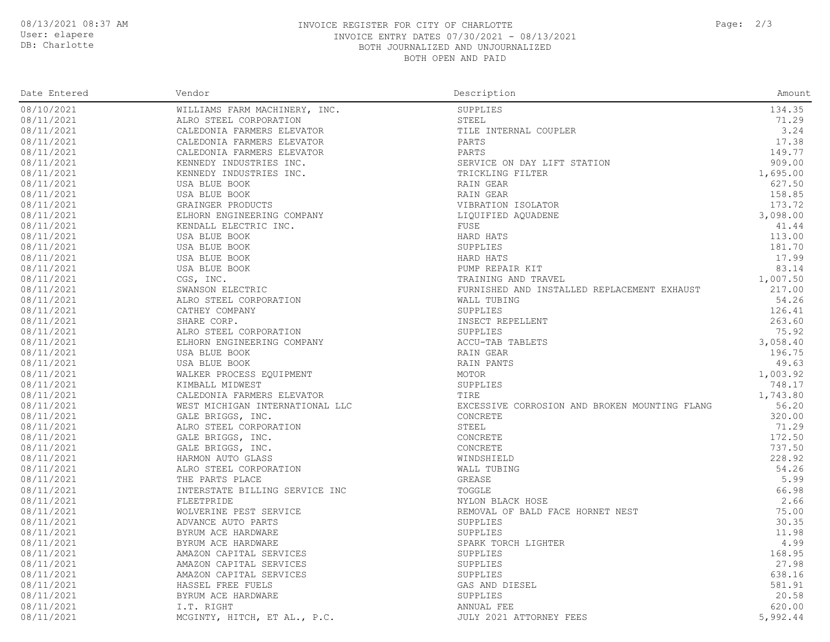User: elapere

## DB: Charlotte

#### 08/13/2021 08:37 AM **INVOICE REGISTER FOR CITY OF CHARLOTTE** Page: 2/3 INVOICE ENTRY DATES 07/30/2021 - 08/13/2021 BOTH JOURNALIZED AND UNJOURNALIZED BOTH OPEN AND PAID

| Date Entered | Vendor                          | Description                                   | Amount   |
|--------------|---------------------------------|-----------------------------------------------|----------|
| 08/10/2021   | WILLIAMS FARM MACHINERY, INC.   | SUPPLIES                                      | 134.35   |
| 08/11/2021   | ALRO STEEL CORPORATION          | STEEL                                         | 71.29    |
| 08/11/2021   | CALEDONIA FARMERS ELEVATOR      | TILE INTERNAL COUPLER                         | 3.24     |
| 08/11/2021   | CALEDONIA FARMERS ELEVATOR      | PARTS                                         | 17.38    |
| 08/11/2021   | CALEDONIA FARMERS ELEVATOR      | PARTS                                         | 149.77   |
| 08/11/2021   | KENNEDY INDUSTRIES INC.         | SERVICE ON DAY LIFT STATION                   | 909.00   |
| 08/11/2021   | KENNEDY INDUSTRIES INC.         | TRICKLING FILTER                              | 1,695.00 |
| 08/11/2021   | USA BLUE BOOK                   | RAIN GEAR                                     | 627.50   |
| 08/11/2021   | USA BLUE BOOK                   | RAIN GEAR                                     | 158.85   |
| 08/11/2021   | GRAINGER PRODUCTS               | VIBRATION ISOLATOR                            | 173.72   |
| 08/11/2021   | ELHORN ENGINEERING COMPANY      | LIQUIFIED AQUADENE                            | 3,098.00 |
| 08/11/2021   | KENDALL ELECTRIC INC.           | FUSE                                          | 41.44    |
| 08/11/2021   | USA BLUE BOOK                   | HARD HATS                                     | 113.00   |
|              |                                 |                                               |          |
| 08/11/2021   | USA BLUE BOOK                   | SUPPLIES                                      | 181.70   |
| 08/11/2021   | USA BLUE BOOK                   | HARD HATS                                     | 17.99    |
| 08/11/2021   | USA BLUE BOOK                   | PUMP REPAIR KIT                               | 83.14    |
| 08/11/2021   | CGS, INC.                       | TRAINING AND TRAVEL                           | 1,007.50 |
| 08/11/2021   | SWANSON ELECTRIC                | FURNISHED AND INSTALLED REPLACEMENT EXHAUST   | 217.00   |
| 08/11/2021   | ALRO STEEL CORPORATION          | WALL TUBING                                   | 54.26    |
| 08/11/2021   | CATHEY COMPANY                  | SUPPLIES                                      | 126.41   |
| 08/11/2021   | SHARE CORP.                     | INSECT REPELLENT                              | 263.60   |
| 08/11/2021   | ALRO STEEL CORPORATION          | SUPPLIES                                      | 75.92    |
| 08/11/2021   | ELHORN ENGINEERING COMPANY      | ACCU-TAB TABLETS                              | 3,058.40 |
| 08/11/2021   | USA BLUE BOOK                   | RAIN GEAR                                     | 196.75   |
| 08/11/2021   | USA BLUE BOOK                   | RAIN PANTS                                    | 49.63    |
| 08/11/2021   | WALKER PROCESS EQUIPMENT        | MOTOR                                         | 1,003.92 |
| 08/11/2021   | KIMBALL MIDWEST                 | SUPPLIES                                      | 748.17   |
| 08/11/2021   | CALEDONIA FARMERS ELEVATOR      | TIRE                                          | 1,743.80 |
| 08/11/2021   | WEST MICHIGAN INTERNATIONAL LLC | EXCESSIVE CORROSION AND BROKEN MOUNTING FLANG | 56.20    |
| 08/11/2021   | GALE BRIGGS, INC.               | CONCRETE                                      | 320.00   |
| 08/11/2021   | ALRO STEEL CORPORATION          | STEEL                                         | 71.29    |
| 08/11/2021   | GALE BRIGGS, INC.               | CONCRETE                                      | 172.50   |
| 08/11/2021   | GALE BRIGGS, INC.               | CONCRETE                                      | 737.50   |
| 08/11/2021   | HARMON AUTO GLASS               | WINDSHIELD                                    | 228.92   |
| 08/11/2021   | ALRO STEEL CORPORATION          | WALL TUBING                                   | 54.26    |
| 08/11/2021   | THE PARTS PLACE                 | GREASE                                        | 5.99     |
| 08/11/2021   | INTERSTATE BILLING SERVICE INC  | TOGGLE                                        | 66.98    |
| 08/11/2021   | FLEETPRIDE                      | NYLON BLACK HOSE                              | 2.66     |
|              |                                 |                                               |          |
| 08/11/2021   | WOLVERINE PEST SERVICE          | REMOVAL OF BALD FACE HORNET NEST              | 75.00    |
| 08/11/2021   | ADVANCE AUTO PARTS              | SUPPLIES                                      | 30.35    |
| 08/11/2021   | BYRUM ACE HARDWARE              | SUPPLIES                                      | 11.98    |
| 08/11/2021   | BYRUM ACE HARDWARE              | SPARK TORCH LIGHTER                           | 4.99     |
| 08/11/2021   | AMAZON CAPITAL SERVICES         | SUPPLIES                                      | 168.95   |
| 08/11/2021   | AMAZON CAPITAL SERVICES         | SUPPLIES                                      | 27.98    |
| 08/11/2021   | AMAZON CAPITAL SERVICES         | SUPPLIES                                      | 638.16   |
| 08/11/2021   | HASSEL FREE FUELS               | GAS AND DIESEL                                | 581.91   |
| 08/11/2021   | BYRUM ACE HARDWARE              | SUPPLIES                                      | 20.58    |
| 08/11/2021   | I.T. RIGHT                      | ANNUAL FEE                                    | 620.00   |
| 08/11/2021   | MCGINTY, HITCH, ET AL., P.C.    | JULY 2021 ATTORNEY FEES                       | 5,992.44 |